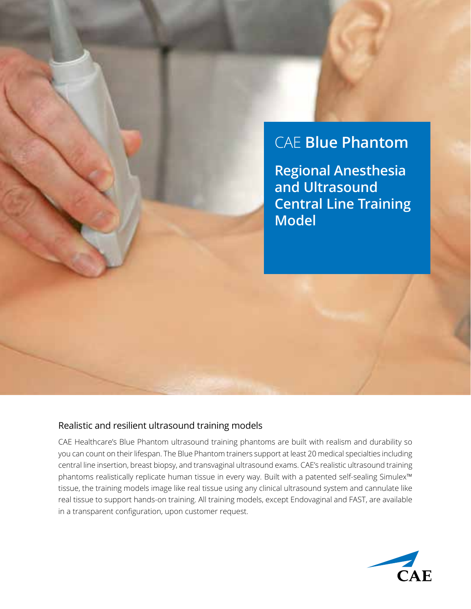## CAE **Blue Phantom**

**Regional Anesthesia and Ultrasound Central Line Training Model**

## Realistic and resilient ultrasound training models

CAE Healthcare's Blue Phantom ultrasound training phantoms are built with realism and durability so you can count on their lifespan. The Blue Phantom trainers support at least 20 medical specialties including central line insertion, breast biopsy, and transvaginal ultrasound exams. CAE's realistic ultrasound training phantoms realistically replicate human tissue in every way. Built with a patented self-sealing Simulex™ tissue, the training models image like real tissue using any clinical ultrasound system and cannulate like real tissue to support hands-on training. All training models, except Endovaginal and FAST, are available in a transparent configuration, upon customer request.